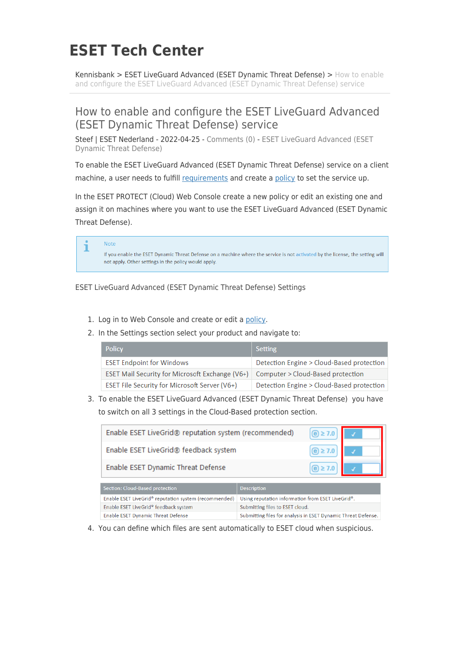## **ESET Tech Center**

[Kennisbank](https://techcenter.eset.nl/nl/kb) > [ESET LiveGuard Advanced \(ESET Dynamic Threat Defense\)](https://techcenter.eset.nl/nl/kb/eset-liveguard-advanced-eset-dynamic-threat-defense) > [How to enable](https://techcenter.eset.nl/nl/kb/articles/how-to-enable-and-configure-the-eset-liveguard-advanced-eset-dynamic-threat-defense-service) [and configure the ESET LiveGuard Advanced \(ESET Dynamic Threat Defense\) service](https://techcenter.eset.nl/nl/kb/articles/how-to-enable-and-configure-the-eset-liveguard-advanced-eset-dynamic-threat-defense-service)

## How to enable and configure the ESET LiveGuard Advanced (ESET Dynamic Threat Defense) service

Steef | ESET Nederland - 2022-04-25 - [Comments \(0\)](#page--1-0) - [ESET LiveGuard Advanced \(ESET](https://techcenter.eset.nl/nl/kb/eset-liveguard-advanced-eset-dynamic-threat-defense) [Dynamic Threat Defense\)](https://techcenter.eset.nl/nl/kb/eset-liveguard-advanced-eset-dynamic-threat-defense)

To enable the ESET LiveGuard Advanced (ESET Dynamic Threat Defense) service on a client machine, a user needs to fulfill [requirements](https://help.eset.com/edtd/en-US/configuration.html) and create a [policy](https://help.eset.com/edtd/en-US/esmc_policy.html) to set the service up.

In the ESET PROTECT (Cloud) Web Console create a new policy or edit an existing one and assign it on machines where you want to use the ESET LiveGuard Advanced (ESET Dynamic Threat Defense).

|  | Note<br>If you enable the ESET Dynamic Threat Defense on a machine where the service is not activated by the license, the setting will<br>not apply. Other settings in the policy would apply. |
|--|------------------------------------------------------------------------------------------------------------------------------------------------------------------------------------------------|
|--|------------------------------------------------------------------------------------------------------------------------------------------------------------------------------------------------|

ESET LiveGuard Advanced (ESET Dynamic Threat Defense) Settings

- 1. Log in to Web Console and create or edit a [policy](https://help.eset.com/edtd/en-US/esmc_policy.html).
- 2. In the Settings section select your product and navigate to:

| <b>Policy</b>                                          | Setting                                   |
|--------------------------------------------------------|-------------------------------------------|
| <b>ESET Endpoint for Windows</b>                       | Detection Engine > Cloud-Based protection |
| <b>ESET Mail Security for Microsoft Exchange (V6+)</b> | Computer > Cloud-Based protection         |
| ESET File Security for Microsoft Server (V6+)          | Detection Engine > Cloud-Based protection |

3. To enable the ESET LiveGuard Advanced (ESET Dynamic Threat Defense) you have to switch on all 3 settings in the Cloud-Based protection section.

| Enable ESET LiveGrid® reputation system (recommended)             | $\textcircled{e}$ $\geq$ 7.0                                   |  |
|-------------------------------------------------------------------|----------------------------------------------------------------|--|
| Enable ESET LiveGrid® feedback system                             | $(e) \ge 7.0$                                                  |  |
| Enable ESET Dynamic Threat Defense                                | $(e) \ge 7.0$                                                  |  |
| Section: Cloud-Based protection                                   | <b>Description</b>                                             |  |
| Enable ESET LiveGrid <sup>®</sup> reputation system (recommended) | Using reputation information from ESET LiveGrid <sup>®</sup> . |  |
| Enable ESET LiveGrid® feedback system                             | Submitting files to ESET cloud.                                |  |
| Enable ESET Dynamic Threat Defense                                | Submitting files for analysis in ESET Dynamic Threat Defense   |  |

4. You can define which files are sent automatically to ESET cloud when suspicious.